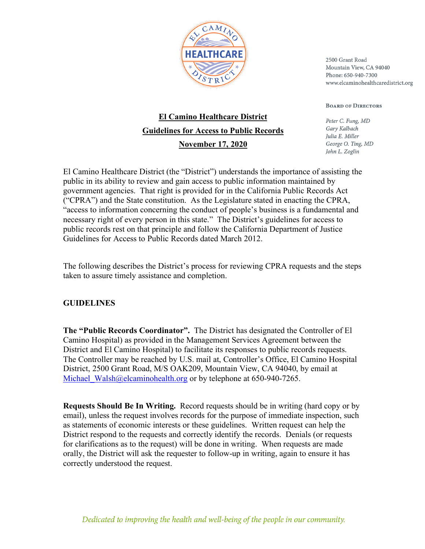

2500 Grant Road Mountain View, CA 94040 Phone: 650-940-7300 www.elcaminohealthcaredistrict.org

**BOARD OF DIRECTORS** 

Peter C. Fung, MD Garv Kalbach Julia E. Miller George O. Ting, MD John L. Zoglin

## **El Camino Healthcare District Guidelines for Access to Public Records November 17, 2020**

El Camino Healthcare District (the "District") understands the importance of assisting the public in its ability to review and gain access to public information maintained by government agencies. That right is provided for in the California Public Records Act ("CPRA") and the State constitution. As the Legislature stated in enacting the CPRA, "access to information concerning the conduct of people's business is a fundamental and necessary right of every person in this state." The District's guidelines for access to public records rest on that principle and follow the California Department of Justice Guidelines for Access to Public Records dated March 2012.

The following describes the District's process for reviewing CPRA requests and the steps taken to assure timely assistance and completion.

## **GUIDELINES**

**The "Public Records Coordinator".** The District has designated the Controller of El Camino Hospital) as provided in the Management Services Agreement between the District and El Camino Hospital) to facilitate its responses to public records requests. The Controller may be reached by U.S. mail at, Controller's Office, El Camino Hospital District, 2500 Grant Road, M/S OAK209, Mountain View, CA 94040, by email at Michael Walsh@elcaminohealth.org or by telephone at 650-940-7265.

**Requests Should Be In Writing.** Record requests should be in writing (hard copy or by email), unless the request involves records for the purpose of immediate inspection, such as statements of economic interests or these guidelines. Written request can help the District respond to the requests and correctly identify the records. Denials (or requests for clarifications as to the request) will be done in writing. When requests are made orally, the District will ask the requester to follow-up in writing, again to ensure it has correctly understood the request.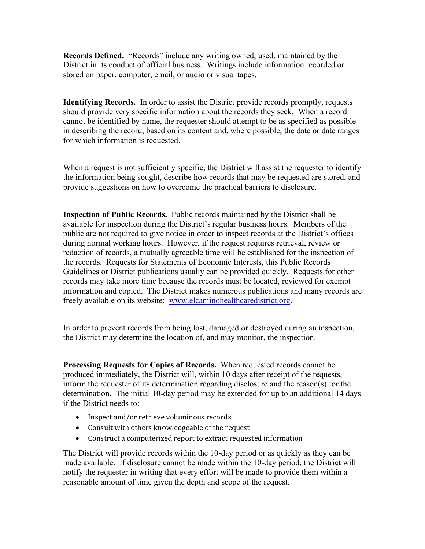**Records Defined.** "Records" include any writing owned, used, maintained by the District in its conduct of official business. Writings include information recorded or stored on paper, computer, email, or audio or visual tapes.

**Identifying Records.** In order to assist the District provide records promptly, requests should provide very specific information about the records they seek. When a record cannot be identified by name, the requester should attempt to be as specified as possible in describing the record, based on its content and, where possible, the date or date ranges for which information is requested.

When a request is not sufficiently specific, the District will assist the requester to identify the information being sought, describe how records that may be requested are stored, and provide suggestions on how to overcome the practical barriers to disclosure.

**Inspection of Public Records.** Public records maintained by the District shall be available for inspection during the District's regular business hours. Members of the public are not required to give notice in order to inspect records at the District's offices during normal working hours. However, if the request requires retrieval, review or redaction of records, a mutually agreeable time will be established for the inspection of the records. Requests for Statements of Economic Interests, this Public Records Guidelines or District publications usually can be provided quickly. Requests for other records may take more time because the records must be located, reviewed for exempt information and copied. The District makes numerous publications and many records are freely available on its website: www.elcaminohealthcaredistrict.org.

In order to prevent records from being lost, damaged or destroyed during an inspection, the District may determine the location of, and may monitor, the inspection.

**Processing Requests for Copies of Records.** When requested records cannot be produced immediately, the District will, within 10 days after receipt of the requests, inform the requester of its determination regarding disclosure and the reason(s) for the determination. The initial 10-day period may be extended for up to an additional 14 days if the District needs to:

- Inspect and/or retrieve voluminous records
- $\bullet$  Consult with others knowledgeable of the request
- Construct a computerized report to extract requested information

The District will provide records within the 10-day period or as quickly as they can be made available. If disclosure cannot be made within the 10-day period, the District will notify the requester in writing that every effort will be made to provide them within a reasonable amount of time given the depth and scope of the request.